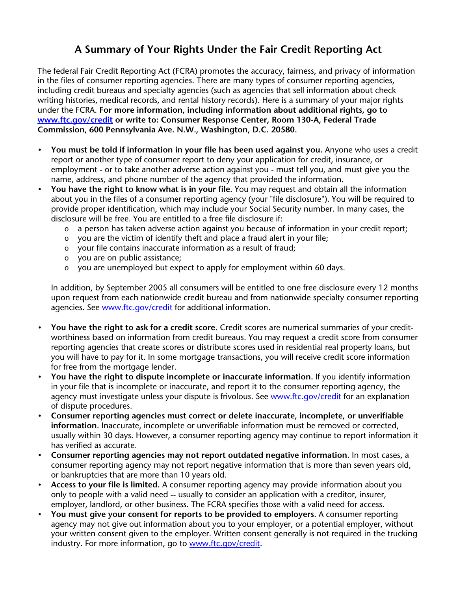## **A Summary of Your Rights Under the Fair Credit Reporting Act**

The federal Fair Credit Reporting Act (FCRA) promotes the accuracy, fairness, and privacy of information in the files of consumer reporting agencies. There are many types of consumer reporting agencies, including credit bureaus and specialty agencies (such as agencies that sell information about check writing histories, medical records, and rental history records). Here is a summary of your major rights under the FCRA. **For more information, including information about additional rights, go to www.ftc.gov/credit or write to: Consumer Response Center, Room 130-A, Federal Trade Commission, 600 Pennsylvania Ave. N.W., Washington, D.C. 20580.**

- **You must be told if information in your file has been used against you.** Anyone who uses a credit report or another type of consumer report to deny your application for credit, insurance, or employment - or to take another adverse action against you - must tell you, and must give you the name, address, and phone number of the agency that provided the information.
- **You have the right to know what is in your file.** You may request and obtain all the information about you in the files of a consumer reporting agency (your "file disclosure"). You will be required to provide proper identification, which may include your Social Security number. In many cases, the disclosure will be free. You are entitled to a free file disclosure if:
	- $\circ$  a person has taken adverse action against you because of information in your credit report;
	- o you are the victim of identify theft and place a fraud alert in your file;
	- o your file contains inaccurate information as a result of fraud;
	- o you are on public assistance;
	- $\circ$  you are unemployed but expect to apply for employment within 60 days.

In addition, by September 2005 all consumers will be entitled to one free disclosure every 12 months upon request from each nationwide credit bureau and from nationwide specialty consumer reporting agencies. See www.ftc.gov/credit for additional information.

- **You have the right to ask for a credit score.** Credit scores are numerical summaries of your creditworthiness based on information from credit bureaus. You may request a credit score from consumer reporting agencies that create scores or distribute scores used in residential real property loans, but you will have to pay for it. In some mortgage transactions, you will receive credit score information for free from the mortgage lender.
- **You have the right to dispute incomplete or inaccurate information.** If you identify information in your file that is incomplete or inaccurate, and report it to the consumer reporting agency, the agency must investigate unless your dispute is frivolous. See www.ftc.gov/credit for an explanation of dispute procedures.
- **Consumer reporting agencies must correct or delete inaccurate, incomplete, or unverifiable information.** Inaccurate, incomplete or unverifiable information must be removed or corrected, usually within 30 days. However, a consumer reporting agency may continue to report information it has verified as accurate.
- **Consumer reporting agencies may not report outdated negative information.** In most cases, a consumer reporting agency may not report negative information that is more than seven years old, or bankruptcies that are more than 10 years old.
- **Access to your file is limited.** A consumer reporting agency may provide information about you only to people with a valid need -- usually to consider an application with a creditor, insurer, employer, landlord, or other business. The FCRA specifies those with a valid need for access.
- **You must give your consent for reports to be provided to employers.** A consumer reporting agency may not give out information about you to your employer, or a potential employer, without your written consent given to the employer. Written consent generally is not required in the trucking industry. For more information, go to www.ftc.gov/credit.